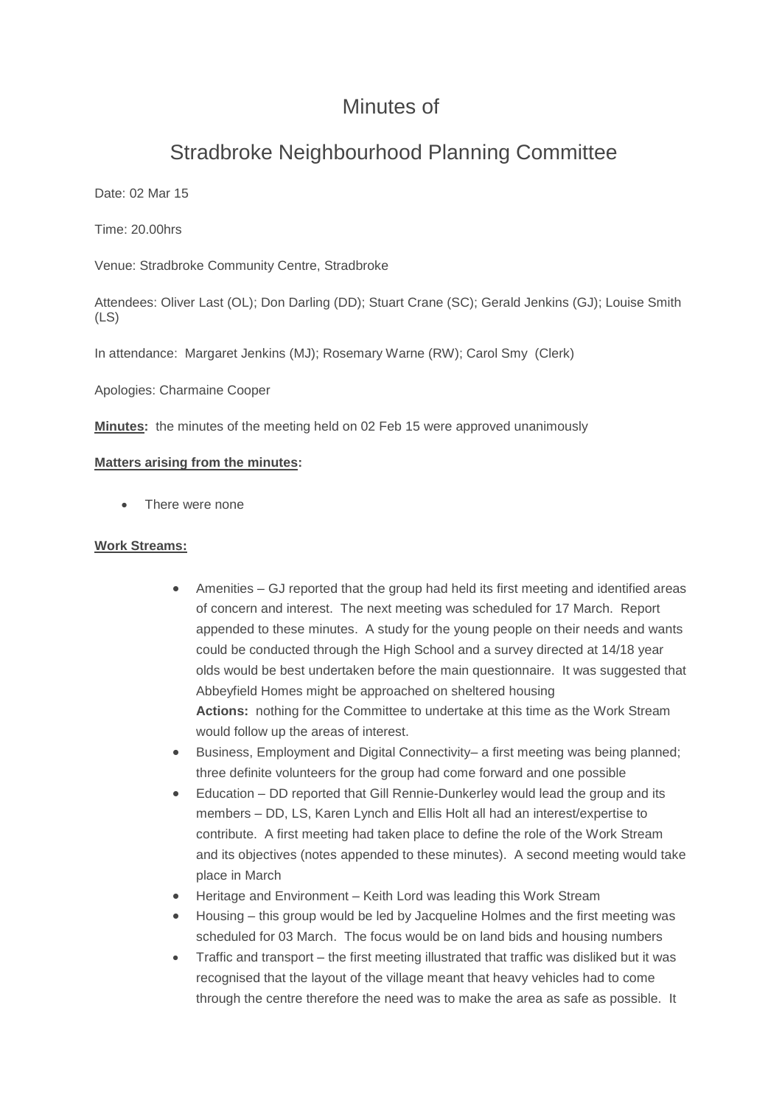# Minutes of

# Stradbroke Neighbourhood Planning Committee

Date: 02 Mar 15

Time: 20.00hrs

Venue: Stradbroke Community Centre, Stradbroke

Attendees: Oliver Last (OL); Don Darling (DD); Stuart Crane (SC); Gerald Jenkins (GJ); Louise Smith (LS)

In attendance: Margaret Jenkins (MJ); Rosemary Warne (RW); Carol Smy (Clerk)

Apologies: Charmaine Cooper

**Minutes:** the minutes of the meeting held on 02 Feb 15 were approved unanimously

#### **Matters arising from the minutes:**

There were none

#### **Work Streams:**

- Amenities GJ reported that the group had held its first meeting and identified areas of concern and interest. The next meeting was scheduled for 17 March. Report appended to these minutes. A study for the young people on their needs and wants could be conducted through the High School and a survey directed at 14/18 year olds would be best undertaken before the main questionnaire. It was suggested that Abbeyfield Homes might be approached on sheltered housing **Actions:** nothing for the Committee to undertake at this time as the Work Stream would follow up the areas of interest.
- Business, Employment and Digital Connectivity– a first meeting was being planned; three definite volunteers for the group had come forward and one possible
- Education DD reported that Gill Rennie-Dunkerley would lead the group and its members – DD, LS, Karen Lynch and Ellis Holt all had an interest/expertise to contribute. A first meeting had taken place to define the role of the Work Stream and its objectives (notes appended to these minutes). A second meeting would take place in March
- Heritage and Environment Keith Lord was leading this Work Stream
- Housing this group would be led by Jacqueline Holmes and the first meeting was scheduled for 03 March. The focus would be on land bids and housing numbers
- Traffic and transport the first meeting illustrated that traffic was disliked but it was recognised that the layout of the village meant that heavy vehicles had to come through the centre therefore the need was to make the area as safe as possible. It